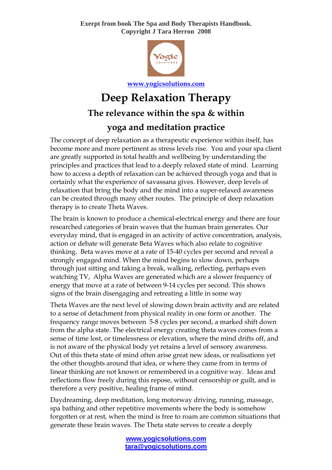**Exerpt from book The Spa and Body Therapists Handbook. Copyright J Tara Herron 2008**



**[www.yogicsolutions.com](http://www.yogicsolutions.com/)** 

## **Deep Relaxation Therapy The relevance within the spa & within yoga and meditation practice**

The concept of deep relaxation as a therapeutic experience within itself, has become more and more pertinent as stress levels rise. You and your spa client are greatly supported in total health and wellbeing by understanding the principles and practices that lead to a deeply relaxed state of mind. Learning how to access a depth of relaxation can be achieved through yoga and that is certainly what the experience of savassana gives. However, deep levels of relaxation that bring the body and the mind into a super-relaxed awareness can be created through many other routes. The principle of deep relaxation therapy is to create Theta Waves.

The brain is known to produce a chemical-electrical energy and there are four researched categories of brain waves that the human brain generates. Our everyday mind, that is engaged in an activity of active concentration, analysis, action or debate will generate Beta Waves which also relate to cognitive thinking. Beta waves move at a rate of 15-40 cycles per second and reveal a strongly engaged mind. When the mind begins to slow down, perhaps through just sitting and taking a break, walking, reflecting, perhaps even watching TV, Alpha Waves are generated which are a slower frequency of energy that move at a rate of between 9-14 cycles per second. This shows signs of the brain disengaging and retreating a little in some way

Theta Waves are the next level of slowing down brain activity and are related to a sense of detachment from physical reality in one form or another. The frequency range moves between 5-8 cycles per second, a marked shift down from the alpha state. The electrical energy creating theta waves comes from a sense of time lost, or timelessness or elevation, where the mind drifts off, and is not aware of the physical body yet retains a level of sensory awareness. Out of this theta state of mind often arise great new ideas, or realisations yet the other thoughts around that idea, or where they came from in terms of linear thinking are not known or remembered in a cognitive way. Ideas and reflections flow freely during this repose, without censorship or guilt, and is therefore a very positive, healing frame of mind.

Daydreaming, deep meditation, long motorway driving, running, massage, spa bathing and other repetitive movements where the body is somehow forgotten or at rest, when the mind is free to roam are common situations that generate these brain waves. The Theta state serves to create a deeply

> **www.yogicsolutions.com tara@yogicsolutions.com**